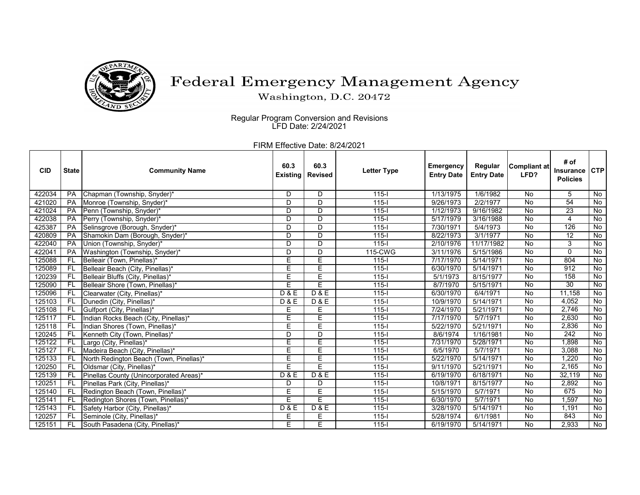

## Federal Emergency Management Agency

Washington, D.C. 20472

 Regular Program Conversion and Revisions LFD Date: 2/24/2021

FIRM Effective Date: 8/24/2021

| <b>CID</b> | <b>State</b> | <b>Community Name</b>                   | 60.3<br><b>Existing</b> | 60.3<br><b>Revised</b> | <b>Letter Type</b> | <b>Emergency</b><br><b>Entry Date</b> | Regular<br><b>Entry Date</b> | Compliant at<br>LFD? | # of<br><b>Insurance</b><br><b>Policies</b> | <b>CTP</b>     |
|------------|--------------|-----------------------------------------|-------------------------|------------------------|--------------------|---------------------------------------|------------------------------|----------------------|---------------------------------------------|----------------|
| 422034     | PA           | Chapman (Township, Snyder)*             | D                       | D                      | $115 -$            | 1/13/1975                             | 1/6/1982                     | No                   | 5                                           | No             |
| 421020     | PA           | Monroe (Township, Snyder)*              | D                       | D                      | $115 -$            | 9/26/1973                             | 2/2/1977                     | No                   | $\overline{54}$                             | $\overline{N}$ |
| 421024     | PA           | Penn (Township, Snyder)*                | D                       | D                      | $115 -$            | 1/12/1973                             | 9/16/1982                    | No                   | 23                                          | No             |
| 422038     | PA           | Perry (Township, Snyder)*               | D                       | D                      | $115 -$            | 5/17/1979                             | 3/16/1988                    | No                   | 4                                           | $\overline{N}$ |
| 425387     | PA           | Selinsgrove (Borough, Snyder)*          | D                       | D                      | $115 -$            | 7/30/1971                             | 5/4/1973                     | $\overline{N}$       | 126                                         | No             |
| 420809     | PA           | Shamokin Dam (Borough, Snyder)*         | D                       | D                      | $115 -$            | 8/22/1973                             | 3/1/1977                     | <b>No</b>            | $\overline{12}$                             | No             |
| 422040     | PA           | Union (Township, Snyder)'               | D                       | $\overline{D}$         | $115 -$            | 2/10/1976                             | 11/17/1982                   | No                   | 3                                           | No             |
| 422041     | <b>PA</b>    | Washington (Township, Snyder)*          | D                       | D                      | 115-CWG            | 3/11/1976                             | 5/15/1986                    | No                   | $\mathbf{0}$                                | No             |
| 125088     | <b>FL</b>    | Belleair (Town, Pinellas)*              | E                       | E                      | $115 -$            | 7/17/1970                             | 5/14/1971                    | No                   | 804                                         | No             |
| 125089     | FL           | Belleair Beach (City, Pinellas)*        | Е                       | E                      | $115 -$            | 6/30/1970                             | 5/14/1971                    | No                   | 912                                         | No             |
| 120239     | FL           | Belleair Bluffs (City, Pinellas)*       | Е                       | E                      | $115 -$            | 5/1/1973                              | 8/15/1977                    | No                   | 158                                         | <b>No</b>      |
| 125090     | <b>FL</b>    | Belleair Shore (Town, Pinellas)*        | Ē                       | E                      | $115 -$            | 8/7/1970                              | 5/15/1971                    | No                   | $\overline{30}$                             | $\overline{N}$ |
| 125096     | <b>FL</b>    | Clearwater (City, Pinellas)*            | D & E                   | D & E                  | $115 -$            | 6/30/1970                             | 6/4/1971                     | No                   | 11.158                                      | No             |
| 125103     | <b>FL</b>    | Dunedin (City, Pinellas)*               | <b>D&amp;E</b>          | <b>D&amp;E</b>         | $115 -$            | 10/9/1970                             | 5/14/1971                    | No                   | 4.052                                       | $\overline{N}$ |
| 125108     | FL           | Gulfport (City, Pinellas)*              | Е                       | E                      | $115 -$            | 7/24/1970                             | 5/21/1971                    | $\overline{N}$       | 2,746                                       | No             |
| 125117     | FL           | Indian Rocks Beach (City, Pinellas)*    | Ē                       | Е                      | $115 -$            | 7/17/1970                             | 5/7/1971                     | $\overline{N}$       | 2.630                                       | No             |
| 125118     | <b>FL</b>    | Indian Shores (Town, Pinellas)*         | Ē                       | E                      | $115 -$            | 5/22/1970                             | 5/21/1971                    | No                   | 2,836                                       | No             |
| 120245     | <b>FL</b>    | Kenneth City (Town, Pinellas)*          | $\overline{D}$          | $\overline{D}$         | $115 -$            | 8/6/1974                              | 1/16/1981                    | No                   | $\overline{242}$                            | No             |
| 125122     | FL           | Largo (City, Pinellas)*                 | Е                       | E                      | $115 -$            | 7/31/1970                             | 5/28/1971                    | No                   | 1,898                                       | No             |
| 125127     | FL           | Madeira Beach (City, Pinellas)*         | Ē                       | Ε                      | $115 -$            | 6/5/1970                              | 5/7/1971                     | No                   | 3,088                                       | No             |
| 125133     | FL           | North Redington Beach (Town, Pinellas)* | E                       | Ē                      | $115 -$            | 5/22/1970                             | 5/14/1971                    | No                   | 1.220                                       | <b>No</b>      |
| 120250     | <b>FL</b>    | Oldsmar (City, Pinellas)*               | Ē                       | E                      | $115 -$            | 9/11/1970                             | 5/21/1971                    | No                   | 2,165                                       | No             |
| 125139     | <b>FL</b>    | Pinellas County (Unincorporated Areas)* | D & E                   | D & E                  | $115 -$            | 6/19/1970                             | 6/18/1971                    | No                   | 32.119                                      | No             |
| 120251     | <b>FL</b>    | Pinellas Park (City, Pinellas)*         | D                       | D                      | $115 -$            | 10/8/1971                             | 8/15/1977                    | No                   | 2,892                                       | No             |
| 125140     | <b>FL</b>    | Redington Beach (Town, Pinellas)*       | Ē                       | Ē                      | $115 -$            | 5/15/1970                             | 5/7/1971                     | $\overline{N}$       | 675                                         | No             |
| 125141     | FL.          | Redington Shores (Town, Pinellas)*      | Ē                       | E                      | $115 -$            | 6/30/1970                             | 5/7/1971                     | No                   | 1,597                                       | No             |
| 125143     | <b>FL</b>    | Safety Harbor (City, Pinellas)*         | <b>D&amp;E</b>          | <b>D&amp;E</b>         | $115 -$            | 3/28/1970                             | 5/14/1971                    | No                   | 1,191                                       | No             |
| 120257     | FL           | Seminole (City, Pinellas)*              | Е                       | Е                      | $115 -$            | 5/28/1974                             | 6/1/1981                     | No                   | 843                                         | No             |
| 125151     | FL           | South Pasadena (City, Pinellas)*        | E                       | E                      | $115 -$            | 6/19/1970                             | 5/14/1971                    | No                   | 2,933                                       | $\overline{N}$ |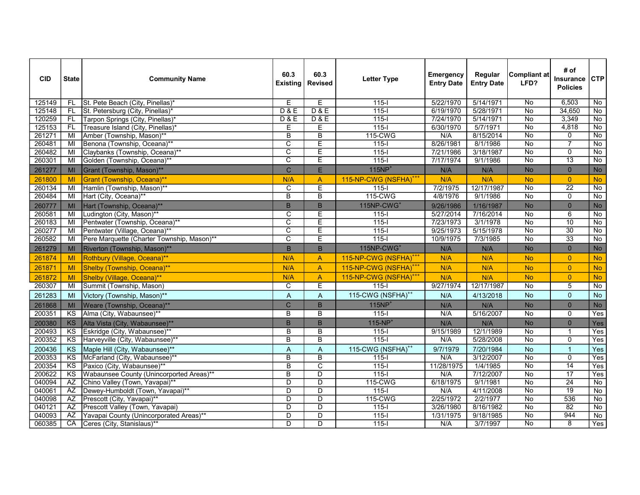| <b>CID</b> | <b>State</b>           | <b>Community Name</b>                      | 60.3<br><b>Existing</b> | 60.3<br><b>Revised</b>  | <b>Letter Type</b>                | Emergency<br><b>Entry Date</b> | Regular<br><b>Entry Date</b> | <b>Compliant at</b><br>LFD? | # of<br>Insurance<br><b>Policies</b> | CTP                |
|------------|------------------------|--------------------------------------------|-------------------------|-------------------------|-----------------------------------|--------------------------------|------------------------------|-----------------------------|--------------------------------------|--------------------|
| 125149     | FL.                    | St. Pete Beach (City, Pinellas)*           | Е                       | E                       | $115 -$                           | 5/22/1970                      | 5/14/1971                    | No                          | 6,503                                | $\overline{N}$     |
| 125148     | FL                     | St. Petersburg (City, Pinellas)*           | <b>D&amp;E</b>          | D & E                   | $115 -$                           | 6/19/1970                      | 5/28/1971                    | $\overline{N}$              | 34,650                               | No                 |
| 120259     | FL.                    | Tarpon Springs (City, Pinellas)*           | <b>D&amp;E</b>          | <b>D&amp;E</b>          | $115 -$                           | 7/24/1970                      | 5/14/1971                    | No                          | 3,349                                | No                 |
| 125153     | FL                     | Treasure Island (City, Pinellas)*          | Е                       | Е                       | $\frac{115}{1}$                   | 6/30/1970                      | 5/7/1971                     | $\overline{No}$             | 4,818                                | No                 |
| 261271     | MI                     | Amber (Township, Mason)**                  | $\overline{B}$          | $\overline{B}$          | 115-CWG                           | N/A                            | 8/15/2014                    | $\overline{N}$              | 0                                    | $\overline{N}$     |
| 260481     | MI                     | Benona (Township, Oceana)**                | C                       | E                       | $115 -$                           | 8/26/1981                      | 8/1/1986                     | $\overline{N}$              | $\overline{7}$                       | No                 |
| 260482     | MI                     | Claybanks (Township, Oceana)**             | $\overline{\mathsf{c}}$ | E                       | $115 - 1$                         | 7/21/1986                      | 3/18/1987                    | $\overline{N}$              | $\overline{0}$                       | No                 |
| 260301     | MI                     | Golden (Township, Oceana)**                | $\overline{\text{c}}$   | E                       | $115 -$                           | 7/17/1974                      | 9/1/1986                     | $\overline{No}$             | $\overline{13}$                      | $\overline{N_{0}}$ |
| 261277     | MI                     | Grant (Township, Mason)**                  | $\mathsf{C}$            | E                       | $115NP+$                          | N/A                            | N/A                          | <b>No</b>                   | $\overline{0}$                       | No                 |
| 261800     | MI                     | Grant (Township, Oceana)**                 | N/A                     | A                       | 115-NP-CWG (NSFHA) <sup>+++</sup> | N/A                            | N/A                          | <b>No</b>                   | $\overline{0}$                       | <b>No</b>          |
| 260134     | MI                     | Hamlin (Township, Mason)**                 | C                       | $\overline{E}$          | $\overline{115-1}$                | 7/2/1975                       | 12/17/1987                   | $\overline{No}$             | $\overline{22}$                      | No                 |
| 260484     | MI                     | Hart (City, Oceana)**                      | $\overline{B}$          | $\overline{\mathsf{B}}$ | 115-CWG                           | 4/8/1976                       | 9/1/1986                     | <b>No</b>                   | $\overline{0}$                       | $\overline{No}$    |
| 260777     | <b>MI</b>              | Hart (Township, Oceana)**                  | B                       | B                       | 115NP-CWG <sup>+</sup>            | 9/26/1986                      | 1/16/1987                    | <b>No</b>                   | $\overline{0}$                       | <b>No</b>          |
| 260581     | $\overline{M}$         | Ludington (City, Mason)**                  | C                       | Ē                       | $115 -$                           | 5/27/2014                      | 7/16/2014                    | <b>No</b>                   | 6                                    | $\overline{N}$     |
| 260183     | MI                     | Pentwater (Township, Oceana)**             | $\overline{\text{c}}$   | Ē                       | $\overline{115-1}$                | 7/23/1973                      | 3/1/1978                     | $\overline{N}$              | $\overline{10}$                      | No                 |
| 260277     | MI                     | Pentwater (Village, Oceana)**              | $\overline{\text{c}}$   | Ē                       | $\overline{115-1}$                | 9/25/1973                      | 5/15/1978                    | No                          | $\overline{30}$                      | $\overline{N}$     |
| 260582     | MI                     | Pere Marquette (Charter Township, Mason)** | $\overline{\text{c}}$   | Ē                       | $115 -$                           | 10/9/1975                      | 7/3/1985                     | $\overline{N_{0}}$          | $\overline{33}$                      | No                 |
| 261279     | <b>MI</b>              | Riverton (Township, Mason)**               | B                       | B                       | 115NP-CWG <sup>+</sup>            | N/A                            | N/A                          | <b>No</b>                   | $\overline{0}$                       | <b>No</b>          |
| 261874     | MI                     | Rothbury (Village, Oceana)**               | N/A                     | $\overline{A}$          | 115-NP-CWG (NSFHA) <sup>+++</sup> | N/A                            | N/A                          | <b>No</b>                   | $\overline{0}$                       | <b>No</b>          |
| 261871     | MI                     | Shelby (Township, Oceana)**                | N/A                     | $\overline{A}$          | 115-NP-CWG (NSFHA) <sup>+++</sup> | N/A                            | N/A                          | <b>No</b>                   | $\overline{0}$                       | <b>No</b>          |
| 261872     | MI                     | Shelby (Village, Oceana)**                 | N/A                     | $\mathsf{A}$            | 115-NP-CWG (NSFHA) <sup>+++</sup> | N/A                            | N/A                          | <b>No</b>                   | $\overline{0}$                       | <b>No</b>          |
| 260307     | M <sub>l</sub>         | Summit (Township, Mason)                   | C                       | E                       | $115 -$                           | 9/27/1974                      | 12/17/1987                   | $\overline{No}$             | $\overline{5}$                       | No                 |
| 261283     | MI                     | Victory (Township, Mason)**                | $\overline{A}$          | A                       | 115-CWG (NSFHA) <sup>++</sup>     | N/A                            | 4/13/2018                    | <b>No</b>                   | $\overline{0}$                       | No                 |
| 261868     | <b>MI</b>              | Weare (Township, Oceana)**                 | $\overline{C}$          | $\overline{B}$          | $115NP+$                          | N/A                            | N/A                          | <b>No</b>                   | $\overline{0}$                       | <b>No</b>          |
| 200351     | KS                     | Alma (City, Wabaunsee)**                   | B                       | $\overline{B}$          | $115 -$                           | N/A                            | 5/16/2007                    | No                          | 0                                    | Yes                |
| 200380     | <b>KS</b>              | Alta Vista (City, Wabaunsee)**             | B                       | B                       | $115-NP+$                         | N/A                            | N/A                          | <b>No</b>                   | $\overline{0}$                       | Yes                |
| 200493     | KS                     | Eskridge (City, Wabaunsee)**               | B                       | B                       | $115 -$                           | 9/15/1989                      | 12/1/1989                    | $\overline{N}$              | $\mathbf 1$                          | Yes                |
| 200352     | K <sub>S</sub>         | Harveyville (City, Wabaunsee)**            | $\overline{\mathsf{B}}$ | $\overline{\mathsf{B}}$ | $115 -$                           | N/A                            | 5/28/2008                    | No                          | $\overline{0}$                       | Yes                |
| 200436     | <b>KS</b>              | Maple Hill (City, Wabaunsee)**             | $\overline{A}$          | A                       | 115-CWG (NSFHA) <sup>++</sup>     | 9/7/1979                       | 7/20/1984                    | <b>No</b>                   | $\overline{1}$                       | Yes                |
| 200353     | $\overline{\text{KS}}$ | McFarland (City, Wabaunsee)**              | $\overline{B}$          | $\overline{\mathsf{B}}$ | $115 -$                           | N/A                            | 3/12/2007                    | $\overline{No}$             | $\overline{0}$                       | Yes                |
| 200354     | K <sub>S</sub>         | Paxico (City, Wabaunsee)**                 | $\overline{B}$          | $\overline{\text{c}}$   | $115 -$                           | 11/28/1975                     | 1/4/1985                     | $\overline{N}$              | 14                                   | Yes                |
| 200622     | <b>KS</b>              | Wabaunsee County (Unincorported Areas)**   | $\overline{B}$          | $\overline{\mathsf{D}}$ | $\overline{115}$                  | N/A                            | 7/12/2007                    | No                          | $\overline{17}$                      | Yes                |
| 040094     | AZ                     | Chino Valley (Town, Yavapai)**             | $\overline{D}$          | D                       | 115-CWG                           | 6/18/1975                      | 9/1/1981                     | $\overline{N}$              | $\overline{24}$                      | No                 |
| 040061     | AZ                     | Dewey-Humboldt (Town, Yavapai)**           | $\overline{D}$          | $\overline{D}$          | $115 -$                           | N/A                            | 4/11/2008                    | No                          | $\overline{19}$                      | No                 |
| 040098     | AZ                     | Prescott (City, Yavapai)**                 | $\overline{\mathsf{D}}$ | $\overline{\mathsf{D}}$ | 115-CWG                           | 2/25/1972                      | 2/2/1977                     | $\overline{No}$             | 536                                  | $\overline{N}$     |
| 040121     | AZ                     | Prescott Valley (Town, Yavapai)            | $\overline{\mathsf{D}}$ | $\overline{D}$          | $115 -$                           | 3/26/1980                      | 8/16/1982                    | $\overline{N}$              | 82                                   | No                 |
| 040093     | AZ                     | Yavapai County (Unincorporated Areas)**    | D                       | D                       | $115 -$                           | 1/31/1975                      | 9/18/1985                    | $\overline{N}$              | 944                                  | No                 |
| 060385     | CA                     | Ceres (City, Stanislaus)**                 | $\overline{D}$          | D                       | $115 -$                           | N/A                            | 3/7/1997                     | $\overline{N}$              | 8                                    | Yes                |